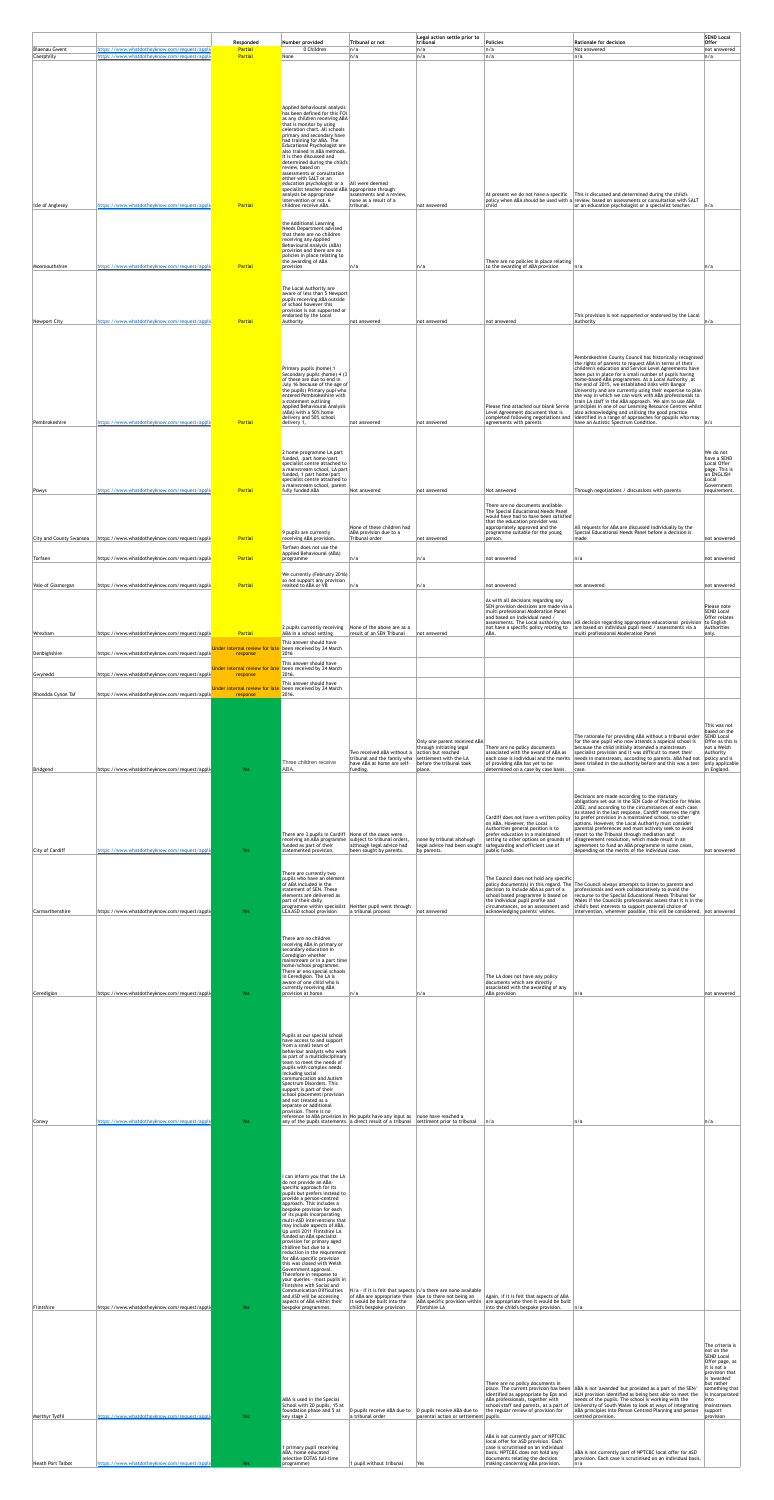| <b>Blaenau Gwent</b>           | https://www.whatdotheyknow.com/request/applic | Responded<br>Partial                      | Number provided<br>0 Children                                                                                                   | Tribunal or not<br>n/a                                                                                                                                                           | Legal action settle prior to<br>tribunal<br> n/a                     | Policies<br> n/a                                                                                                                               | <b>Rationale for decision</b><br>Not answered                                                                                                                                                                               | <b>SEND Local</b><br>$O$ ffer<br>not answered                  |
|--------------------------------|-----------------------------------------------|-------------------------------------------|---------------------------------------------------------------------------------------------------------------------------------|----------------------------------------------------------------------------------------------------------------------------------------------------------------------------------|----------------------------------------------------------------------|------------------------------------------------------------------------------------------------------------------------------------------------|-----------------------------------------------------------------------------------------------------------------------------------------------------------------------------------------------------------------------------|----------------------------------------------------------------|
| Caerphilly                     | https://www.whatdotheyknow.com/request/applic | Partial                                   | None                                                                                                                            | n/a                                                                                                                                                                              | n/a                                                                  | n/a                                                                                                                                            | n/a                                                                                                                                                                                                                         | n/a                                                            |
|                                |                                               |                                           |                                                                                                                                 |                                                                                                                                                                                  |                                                                      |                                                                                                                                                |                                                                                                                                                                                                                             |                                                                |
|                                |                                               |                                           |                                                                                                                                 |                                                                                                                                                                                  |                                                                      |                                                                                                                                                |                                                                                                                                                                                                                             |                                                                |
|                                |                                               |                                           | Applied behavioural analysis<br>has been defined for this FOI<br>as any children receiving ABA<br>that is monitor by using      |                                                                                                                                                                                  |                                                                      |                                                                                                                                                |                                                                                                                                                                                                                             |                                                                |
|                                |                                               |                                           | celeration chart. All schools<br>primary and secondary have<br>had training for ABA. The                                        |                                                                                                                                                                                  |                                                                      |                                                                                                                                                |                                                                                                                                                                                                                             |                                                                |
|                                |                                               |                                           | Educational Psychologist are<br>also trained in ABA methods.<br>It is then discussed and<br>determined during the child's       |                                                                                                                                                                                  |                                                                      |                                                                                                                                                |                                                                                                                                                                                                                             |                                                                |
|                                |                                               |                                           | review, based on<br>assessments or consultation<br>either with SALT or an                                                       |                                                                                                                                                                                  |                                                                      |                                                                                                                                                |                                                                                                                                                                                                                             |                                                                |
|                                |                                               |                                           | education psychologist or $a$   All were deemed<br>specialist teacher should ABA appropriate through<br>analysis be appropriate | assesments and a review,                                                                                                                                                         |                                                                      |                                                                                                                                                | At present we do not have a specific $\ $ This is discussed and determined during the child's                                                                                                                               |                                                                |
| Isle of Anglesey               | https://www.whatdotheyknow.com/request/appli  | <b>Partial</b>                            | intervention or not. 6<br>children receive ABA.                                                                                 | none as a result of a<br>tribunal.                                                                                                                                               | not answered                                                         | child                                                                                                                                          | policy when ABA should be used with a review, based on assessments or consultation with SALT<br>or an education psychologist or a specialist teacher.                                                                       | n/a                                                            |
|                                |                                               |                                           | the Additional Learning<br>Needs Department advised<br>that there are no children                                               |                                                                                                                                                                                  |                                                                      |                                                                                                                                                |                                                                                                                                                                                                                             |                                                                |
|                                |                                               |                                           | receiving any Applied<br>Behavioural Analysis (ABA)<br>provision and there are no                                               |                                                                                                                                                                                  |                                                                      |                                                                                                                                                |                                                                                                                                                                                                                             |                                                                |
| Monmouthshire                  | https://www.whatdotheyknow.com/request/appli  | Partial                                   | policies in place relating to<br>the awarding of ABA<br>provision                                                               | ∣n/a                                                                                                                                                                             | n/a                                                                  | There are no policies in place relating<br>to the awarding of ABA provision                                                                    | n/a                                                                                                                                                                                                                         | n/a                                                            |
|                                |                                               |                                           | The Local Authority are                                                                                                         |                                                                                                                                                                                  |                                                                      |                                                                                                                                                |                                                                                                                                                                                                                             |                                                                |
|                                |                                               |                                           | aware of less than 5 Newport<br>pupils receiving ABA outside<br>of school however this<br>provision is not supported or         |                                                                                                                                                                                  |                                                                      |                                                                                                                                                |                                                                                                                                                                                                                             |                                                                |
| Newport City                   | https://www.whatdotheyknow.com/request/appli  | <b>Partial</b>                            | endorsed by the Local<br>Authority                                                                                              | not answered                                                                                                                                                                     | not answered                                                         | not answered                                                                                                                                   | This provision is not supported or endorsed by the Local<br>Authority                                                                                                                                                       | n/a                                                            |
|                                |                                               |                                           |                                                                                                                                 |                                                                                                                                                                                  |                                                                      |                                                                                                                                                |                                                                                                                                                                                                                             |                                                                |
|                                |                                               |                                           |                                                                                                                                 |                                                                                                                                                                                  |                                                                      |                                                                                                                                                | Pembrokeshire County Council has historically recognised<br>the rights of parents to request ABA in terms of their                                                                                                          |                                                                |
|                                |                                               |                                           | Primary pupils (home) 1<br>Secondary pupils (home) 4 (3)<br>of these are due to end in                                          |                                                                                                                                                                                  |                                                                      |                                                                                                                                                | children's education and Service Level Agreements have<br>been put in place for a small number of pupils having<br>home-based ABA programmes. As a Local Authority, at<br>the end of 2015, we established links with Bangor |                                                                |
|                                |                                               |                                           | July 16 because of the age of<br>the pupils) Primary pupi who<br>entered Pembrokeshire with<br>a statement outlining            |                                                                                                                                                                                  |                                                                      |                                                                                                                                                | University and are currently using their expertise to plan<br>the way in which we can work with ABA professionals to<br>train LA staff in the ABA approach. We aim to use ABA                                               |                                                                |
|                                |                                               |                                           | Applied Behavioural Analysis<br>(ABA) with a 50% home<br>delivery and 50% school                                                |                                                                                                                                                                                  |                                                                      | Level Agreement document that is<br>completed following negotiations and                                                                       | Please find attached our blank Servie   principles in one of our Learning Resource Centres whilst  <br>also acknowledging and utilising the good practice<br>identified in a range of approaches for ppupils who may        |                                                                |
| Pembrokeshire                  | https://www.whatdotheyknow.com/request/appli  | <b>Partial</b>                            | delivery 1,                                                                                                                     | not answered                                                                                                                                                                     | not answered                                                         | agreements with parents                                                                                                                        | have an Autistic Spectrum Condition.                                                                                                                                                                                        | n/s                                                            |
|                                |                                               |                                           | 2 home programme LA part                                                                                                        |                                                                                                                                                                                  |                                                                      |                                                                                                                                                |                                                                                                                                                                                                                             | We do not                                                      |
|                                |                                               |                                           | funded, part home/part<br>specialist centre attached to<br>a mainstream school, LA part<br>funded, 1 part home/part             |                                                                                                                                                                                  |                                                                      |                                                                                                                                                |                                                                                                                                                                                                                             | have a SEND<br>Local Offer<br>page. This is<br>an ENGLISH      |
| Powys                          | https://www.whatdotheyknow.com/request/applic | <b>Partial</b>                            | specialist centre attached to<br>a mainstream school, parent<br>fully funded ABA                                                | Not answered                                                                                                                                                                     | not answered                                                         | Not answered                                                                                                                                   | Through negotiations / discussions with parents                                                                                                                                                                             | Local<br>Government<br>requirement.                            |
|                                |                                               |                                           |                                                                                                                                 |                                                                                                                                                                                  |                                                                      | There are no documents available.<br>The Special Educational Needs Panel                                                                       |                                                                                                                                                                                                                             |                                                                |
|                                |                                               |                                           |                                                                                                                                 | None of these children had                                                                                                                                                       |                                                                      | would have had to have been satisfied<br>that the education provider was<br>appropriately approved and the                                     | All requests for ABA are discussed individually by the                                                                                                                                                                      |                                                                |
| <b>City and County Swansea</b> | https://www.whatdotheyknow.com/request/appli  | <b>Partial</b>                            | 9 pupils are currently<br>receiving ABA provision.<br>Torfaen does not use the                                                  | ABA provision due to a<br>Tribunal order                                                                                                                                         | not answered                                                         | programme suitable for the young<br>person.                                                                                                    | Special Educational Needs Panel before a decision is<br>made                                                                                                                                                                | not answered                                                   |
| Torfaen                        | https://www.whatdotheyknow.com/request/appli  | <b>Partial</b>                            | Applied Behavioural (ABA)<br>programme                                                                                          | n/a                                                                                                                                                                              | n/a                                                                  | not answered                                                                                                                                   | n/a                                                                                                                                                                                                                         | not answered                                                   |
| Vale of Glamorgan              | https://www.whatdotheyknow.com/request/appli  | Partial                                   | We currently (February 2016)<br>so not support any provision<br>realted to ABA or VB                                            | ∣n/a                                                                                                                                                                             | n/a                                                                  | not answered                                                                                                                                   | not answered                                                                                                                                                                                                                | not answered                                                   |
|                                |                                               |                                           |                                                                                                                                 |                                                                                                                                                                                  |                                                                      | As with all decisions regarding any                                                                                                            |                                                                                                                                                                                                                             |                                                                |
|                                |                                               |                                           |                                                                                                                                 |                                                                                                                                                                                  |                                                                      | SEN provision decisions are made via a<br>multi professional Moderation Panel<br>and based on individual need /                                |                                                                                                                                                                                                                             | Please note<br><b>SEND Local</b><br>Offer relates              |
| Wrexham                        | https://www.whatdotheyknow.com/request/appli  | <b>Partial</b>                            | 2 pupils currently receiving<br>ABA in a school setting                                                                         | None of the above are as a<br>result of an SEN Tribunal                                                                                                                          | not answered                                                         | not have a specific policy relating to<br>ABA.                                                                                                 | assessments. The Local authority does $\vert$ All decision regarding appropriate educational provision<br>are based on individual pupil need / assessments via a<br>multi profiessional Moderation Panel                    | to English<br>Authorities<br>$ $ only.                         |
| Denbighshire                   | https://www.whatdotheyknow.com/request/appli  | Under internal review for lat<br>response | This answer should have<br>been received by 24 March<br>2016                                                                    |                                                                                                                                                                                  |                                                                      |                                                                                                                                                |                                                                                                                                                                                                                             |                                                                |
| Gwynedd                        | https://www.whatdotheyknow.com/request/appli  | Under internal review for la<br>response  | This answer should have<br>been received by 24 March<br>2016.                                                                   |                                                                                                                                                                                  |                                                                      |                                                                                                                                                |                                                                                                                                                                                                                             |                                                                |
| Rhondda Cynon Taf              | https://www.whatdotheyknow.com/request/appli  | Under internal review for la              | This answer should have<br>been received by 24 March<br>2016.                                                                   |                                                                                                                                                                                  |                                                                      |                                                                                                                                                |                                                                                                                                                                                                                             |                                                                |
|                                |                                               | response                                  |                                                                                                                                 |                                                                                                                                                                                  |                                                                      |                                                                                                                                                |                                                                                                                                                                                                                             |                                                                |
|                                |                                               |                                           |                                                                                                                                 |                                                                                                                                                                                  |                                                                      |                                                                                                                                                |                                                                                                                                                                                                                             | This was not<br>based on the                                   |
|                                |                                               |                                           |                                                                                                                                 |                                                                                                                                                                                  | Only one parent received ABA<br>through initiating legal             | There are no policy documents                                                                                                                  | The rationale for providing ABA without a tribunal order<br>for the one pupil who now attends a aspeical school is<br>because the child initially attended a mainstream                                                     | <b>SEND Local</b><br>Offer as this is<br>not a Welsh           |
|                                |                                               |                                           | Three children receive                                                                                                          | Two received ABA without a<br>tribunal and the family who settlement with the LA<br>have ABA at home are self-                                                                   | action but reached<br>before the tribunal took                       | associated with the award of ABA as<br>each case is individual and the merits<br>of providing ABA has yet to be                                | specialist provision and it was difficult to meet their<br>needs in mainstream, according to parents. ABA had not<br>been trialled in the authority before and this was a test                                              | Authority<br>  <i>p</i> olicy and is<br>only applicable        |
| Bridgend                       | https://www.whatdotheyknow.com/request/appli  | <b>Yes</b>                                | ABA.                                                                                                                            | funding.                                                                                                                                                                         | place.                                                               | determined on a case by case basis.                                                                                                            | case.                                                                                                                                                                                                                       | in England.                                                    |
|                                |                                               |                                           |                                                                                                                                 |                                                                                                                                                                                  |                                                                      |                                                                                                                                                | Decisions are made according to the statutory<br>obligations set out in the SEN Code of Practice for Wales                                                                                                                  |                                                                |
|                                |                                               |                                           |                                                                                                                                 |                                                                                                                                                                                  |                                                                      | Cardiff does not have a written policy                                                                                                         | 2002, and according to the circumstances of each case.<br>As stated in the last response, Cardiff reserves the right<br>to prefer provision in a maintained school, to other                                                |                                                                |
|                                |                                               |                                           | There are 3 pupils in Cardiff $\vert$ None of the cases were                                                                    | receiving an ABA programme subject to tribunal orders,                                                                                                                           | none by tribunal altohugh                                            | on ABA. However, the Local<br>Authorities general position is to<br>prefer education in a maintained<br>setting to other options on grounds of | options. However, the Local Authority must consider<br>parental preferences and must actively seek to avoid<br>resort to the Tribunal through mediation and<br>disagreement resolution, which made result in an             |                                                                |
| City of Cardiff                | https://www.whatdotheyknow.com/request/appli  | Yes                                       | funded as part of their<br>statemented provision.                                                                               | although legal advice had<br>been sought by parents.                                                                                                                             | by parents.                                                          | legal advice had been sought   safeguarding and efficient use of<br>public funds.                                                              | agreement to fund an ABA programme in some cases,<br>depending on the merits of the individual case.                                                                                                                        | not answered                                                   |
|                                |                                               |                                           | There are currently two                                                                                                         |                                                                                                                                                                                  |                                                                      |                                                                                                                                                |                                                                                                                                                                                                                             |                                                                |
|                                |                                               |                                           | pupils who have an element<br>of ABA included in the<br>statement of SEN. These<br>elements are delivered as                    |                                                                                                                                                                                  |                                                                      | The Council does not hold any specific<br>decision to include ABA as part of a<br>school based programme is based on                           | policy document(s) in this regard. The $ $ The Council always attempts to listen to parents and<br>professionals and work collaboratively to avoid the<br>recourse to the Special Educational Needs Tribunal for            |                                                                |
| Carmarthenshire                | https://www.whatdotheyknow.com/request/appli  | Yes                                       | part of their daily<br>LEA ASD school provision                                                                                 | programme within specialist Neither pupil went through<br>a tribunal process                                                                                                     | not answered                                                         | the individual pupil profile and<br>circumstances, on an assessment and<br>acknowledging parents' wishes.                                      | Wales If the Councills professionals assess that it is in the<br>child's best interests to support parental choice of<br>intervention, wherever possible, this will be considered. not answered                             |                                                                |
|                                |                                               |                                           |                                                                                                                                 |                                                                                                                                                                                  |                                                                      |                                                                                                                                                |                                                                                                                                                                                                                             |                                                                |
|                                |                                               |                                           | There are no children<br>receiving ABA in primary or<br>secondary education in                                                  |                                                                                                                                                                                  |                                                                      |                                                                                                                                                |                                                                                                                                                                                                                             |                                                                |
|                                |                                               |                                           | Ceredigion whether<br>mainstream or in a part time<br>home/school programme.                                                    |                                                                                                                                                                                  |                                                                      |                                                                                                                                                |                                                                                                                                                                                                                             |                                                                |
|                                |                                               |                                           | There ar eno special schools<br>in Ceredigion. The LA is<br>aware of one child who is<br>currently receiving ABA                |                                                                                                                                                                                  |                                                                      | The LA does not have any policy<br>documents which are directly<br>associated with the awarding of any                                         |                                                                                                                                                                                                                             |                                                                |
| Ceredigion                     | https://www.whatdotheyknow.com/request/appli  | Yes                                       | provision at home.                                                                                                              | n/a                                                                                                                                                                              | n/a                                                                  | ABA provision                                                                                                                                  | n/a                                                                                                                                                                                                                         | not answered                                                   |
|                                |                                               |                                           |                                                                                                                                 |                                                                                                                                                                                  |                                                                      |                                                                                                                                                |                                                                                                                                                                                                                             |                                                                |
|                                |                                               |                                           | Pupils at our special school<br>have access to and support                                                                      |                                                                                                                                                                                  |                                                                      |                                                                                                                                                |                                                                                                                                                                                                                             |                                                                |
|                                |                                               |                                           | from a small team of<br>behaviour analysts who work<br>as part of a multidisciplinary                                           |                                                                                                                                                                                  |                                                                      |                                                                                                                                                |                                                                                                                                                                                                                             |                                                                |
|                                |                                               |                                           | team to meet the needs of<br>pupils with complex needs<br>including social<br>communication and Autism                          |                                                                                                                                                                                  |                                                                      |                                                                                                                                                |                                                                                                                                                                                                                             |                                                                |
|                                |                                               |                                           | Spectrum Disorders. This<br>support is part of their<br>school placement/provision                                              |                                                                                                                                                                                  |                                                                      |                                                                                                                                                |                                                                                                                                                                                                                             |                                                                |
|                                |                                               |                                           | and not treated as a<br>separate or additional<br>provision. There is no                                                        |                                                                                                                                                                                  |                                                                      |                                                                                                                                                |                                                                                                                                                                                                                             |                                                                |
| Conwy                          | https://www.whatdotheyknow.com/request/appli  | Yes                                       |                                                                                                                                 | reference to ABA provision in $ $ No pupils have any input as $ $ none have reached a<br>any of the pupils statements. a direct result of a tribunal settlment prior to tribunal |                                                                      | n/a                                                                                                                                            | n/a                                                                                                                                                                                                                         | n/a                                                            |
|                                |                                               |                                           |                                                                                                                                 |                                                                                                                                                                                  |                                                                      |                                                                                                                                                |                                                                                                                                                                                                                             |                                                                |
|                                |                                               |                                           |                                                                                                                                 |                                                                                                                                                                                  |                                                                      |                                                                                                                                                |                                                                                                                                                                                                                             |                                                                |
|                                |                                               |                                           | I can inform you that the LA<br>do not provide an ABA-<br>specific approach for its                                             |                                                                                                                                                                                  |                                                                      |                                                                                                                                                |                                                                                                                                                                                                                             |                                                                |
|                                |                                               |                                           | pupils but prefers instead to<br>provide a person-centred<br>approach. This includes a                                          |                                                                                                                                                                                  |                                                                      |                                                                                                                                                |                                                                                                                                                                                                                             |                                                                |
|                                |                                               |                                           | bespoke provision for each<br>of its pupils incorporating<br>multi-ASD interventions that                                       |                                                                                                                                                                                  |                                                                      |                                                                                                                                                |                                                                                                                                                                                                                             |                                                                |
|                                |                                               |                                           | may include aspects of ABA.<br>Up until 2011 Flintshire LA<br>funded an ABA specialist<br>provision for primary aged            |                                                                                                                                                                                  |                                                                      |                                                                                                                                                |                                                                                                                                                                                                                             |                                                                |
|                                |                                               |                                           | chidlren but due to a<br>reduction in the requrement<br>for ABA-specific provision                                              |                                                                                                                                                                                  |                                                                      |                                                                                                                                                |                                                                                                                                                                                                                             |                                                                |
|                                |                                               |                                           | this was closed with Welsh<br>Government approval.<br>Therefore in response to                                                  |                                                                                                                                                                                  |                                                                      |                                                                                                                                                |                                                                                                                                                                                                                             |                                                                |
|                                |                                               |                                           | your queries - most pupils in<br>Flintshire with Social and<br><b>Communication Difficulties</b><br>and ASD will be accessing   | of ABA are appropriate then $ $ due to there not being an                                                                                                                        | $N/a$ - if it is felt that aspects $n/a$ there are none available    | Again, if it is felt that aspects of ABA                                                                                                       |                                                                                                                                                                                                                             |                                                                |
| Flintshire                     | https://www.whatdotheyknow.com/request/appli  | Yes                                       | aspects of ABA within their<br>bespoke programmes.                                                                              | it would be built into the<br>child's bespoke provision                                                                                                                          | ABA specific provision within<br>Flintshire LA                       | are appropriate then it would be built<br>into the child's bespoke provision.                                                                  | n/a                                                                                                                                                                                                                         |                                                                |
|                                |                                               |                                           |                                                                                                                                 |                                                                                                                                                                                  |                                                                      |                                                                                                                                                |                                                                                                                                                                                                                             |                                                                |
|                                |                                               |                                           |                                                                                                                                 |                                                                                                                                                                                  |                                                                      |                                                                                                                                                |                                                                                                                                                                                                                             | The criteria is<br>not on the                                  |
|                                |                                               |                                           |                                                                                                                                 |                                                                                                                                                                                  |                                                                      |                                                                                                                                                |                                                                                                                                                                                                                             | <b>SEND Local</b><br>Offer page, as<br>it is not a             |
|                                |                                               |                                           |                                                                                                                                 |                                                                                                                                                                                  |                                                                      | There are no policy documents in<br>place. The current provision has been                                                                      | ABA is not 'awarded' but provided as a part of the SEN,                                                                                                                                                                     | provision that<br>is 'awarded'<br>but rather<br>something that |
|                                |                                               |                                           | ABA is used in the Special<br>School with 20 pupils, 15 at                                                                      |                                                                                                                                                                                  |                                                                      | identified as appropriate by Eps and<br>ABA professionals, together with<br>school staff and parents, as a part of                             | ALN provision identified as being best able to meet the<br>needs of the pupils. The school is working with the<br>University of South Wales to look at ways of integrating                                                  | is incorporated<br>into<br>mainstream                          |
| Merthyr Tydfil                 | https://www.whatdotheyknow.com/request/appli  | Yes                                       | foundation phase and 5 at<br>key stage 2                                                                                        | 0 pupils receive ABA due to<br>a tribunal order                                                                                                                                  | 0 pupils receive ABA due to<br>parental action or settlement pupils. | the regular review of provision for                                                                                                            | ABA principles into Person Centred Planning and person<br>centred provision.                                                                                                                                                | support<br>provision                                           |
|                                |                                               |                                           |                                                                                                                                 |                                                                                                                                                                                  |                                                                      | ABA is not currently part of NPTCBC<br>local offer for ASD provision. Each                                                                     |                                                                                                                                                                                                                             |                                                                |
| Neath Port Talbot              | https://www.whatdotheyknow.com/request/appli  | Yes                                       | 1 primary pupil receiving<br>ABA, home educated<br>(elective EOTAS full-time<br>programme)                                      | 1 pupil without tribunal                                                                                                                                                         | Yes                                                                  | case is scrutinised on an individual<br>basis. NPTCBC does not hold any<br>documents relating the decision<br>making concerning ABA provision. | ABA is not currently part of NPTCBC local offer for ASD<br>provision. Each case is scrutinised on an individual basis.<br>n/a                                                                                               |                                                                |